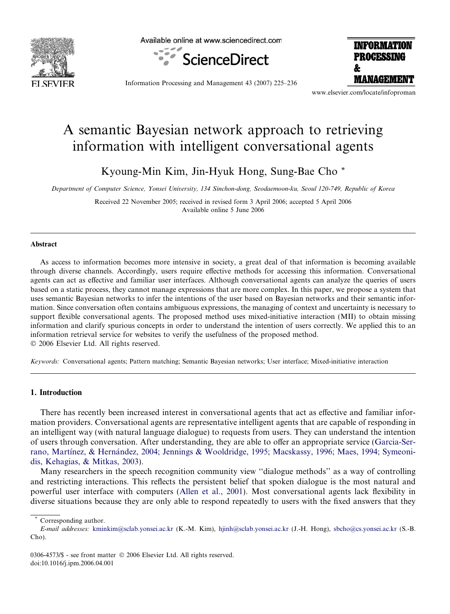

Available online at www.sciencedirect.com





Information Processing and Management 43 (2007) 225–236

www.elsevier.com/locate/infoproman

# A semantic Bayesian network approach to retrieving information with intelligent conversational agents

Kyoung-Min Kim, Jin-Hyuk Hong, Sung-Bae Cho \*

Department of Computer Science, Yonsei University, 134 Sinchon-dong, Seodaemoon-ku, Seoul 120-749, Republic of Korea

Received 22 November 2005; received in revised form 3 April 2006; accepted 5 April 2006 Available online 5 June 2006

# Abstract

As access to information becomes more intensive in society, a great deal of that information is becoming available through diverse channels. Accordingly, users require effective methods for accessing this information. Conversational agents can act as effective and familiar user interfaces. Although conversational agents can analyze the queries of users based on a static process, they cannot manage expressions that are more complex. In this paper, we propose a system that uses semantic Bayesian networks to infer the intentions of the user based on Bayesian networks and their semantic information. Since conversation often contains ambiguous expressions, the managing of context and uncertainty is necessary to support flexible conversational agents. The proposed method uses mixed-initiative interaction (MII) to obtain missing information and clarify spurious concepts in order to understand the intention of users correctly. We applied this to an information retrieval service for websites to verify the usefulness of the proposed method.  $© 2006 Elsevier Ltd. All rights reserved.$ 

Keywords: Conversational agents; Pattern matching; Semantic Bayesian networks; User interface; Mixed-initiative interaction

## 1. Introduction

There has recently been increased interest in conversational agents that act as effective and familiar information providers. Conversational agents are representative intelligent agents that are capable of responding in an intelligent way (with natural language dialogue) to requests from users. They can understand the intention of users through conversation. After understanding, they are able to offer an appropriate service ([Garcia-Ser](#page-11-0)rano, Martínez, & Hernández, 2004; Jennings & Wooldridge, 1995; Macskassy, 1996; Maes, 1994; Symeoni[dis, Kehagias, & Mitkas, 2003\)](#page-11-0).

Many researchers in the speech recognition community view ''dialogue methods'' as a way of controlling and restricting interactions. This reflects the persistent belief that spoken dialogue is the most natural and powerful user interface with computers [\(Allen et al., 2001](#page-11-0)). Most conversational agents lack flexibility in diverse situations because they are only able to respond repeatedly to users with the fixed answers that they

Corresponding author.

E-mail addresses: [kminkim@sclab.yonsei.ac.kr](mailto:kminkim@sclab.yonsei.ac.kr) (K.-M. Kim), [hjinh@sclab.yonsei.ac.kr](mailto:hjinh@sclab.yonsei.ac.kr) (J.-H. Hong), [sbcho@cs.yonsei.ac.kr](mailto:sbcho@cs.yonsei.ac.kr) (S.-B. Cho).

<sup>0306-4573/\$ -</sup> see front matter © 2006 Elsevier Ltd. All rights reserved. doi:10.1016/j.ipm.2006.04.001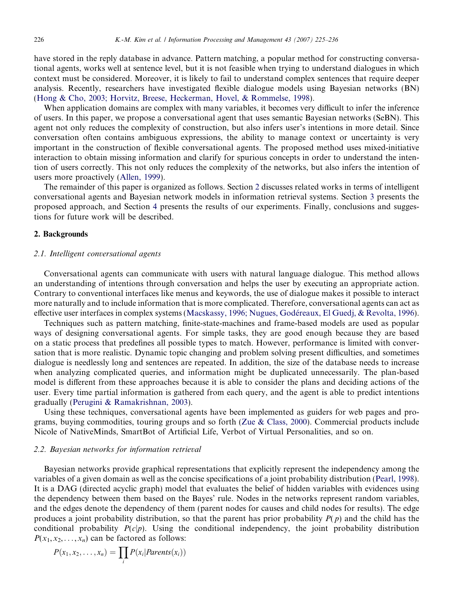have stored in the reply database in advance. Pattern matching, a popular method for constructing conversational agents, works well at sentence level, but it is not feasible when trying to understand dialogues in which context must be considered. Moreover, it is likely to fail to understand complex sentences that require deeper analysis. Recently, researchers have investigated flexible dialogue models using Bayesian networks (BN) ([Hong & Cho, 2003; Horvitz, Breese, Heckerman, Hovel, & Rommelse, 1998\)](#page-11-0).

When application domains are complex with many variables, it becomes very difficult to infer the inference of users. In this paper, we propose a conversational agent that uses semantic Bayesian networks (SeBN). This agent not only reduces the complexity of construction, but also infers user's intentions in more detail. Since conversation often contains ambiguous expressions, the ability to manage context or uncertainty is very important in the construction of flexible conversational agents. The proposed method uses mixed-initiative interaction to obtain missing information and clarify for spurious concepts in order to understand the intention of users correctly. This not only reduces the complexity of the networks, but also infers the intention of users more proactively [\(Allen, 1999](#page-11-0)).

The remainder of this paper is organized as follows. Section 2 discusses related works in terms of intelligent conversational agents and Bayesian network models in information retrieval systems. Section [3](#page-2-0) presents the proposed approach, and Section [4](#page-8-0) presents the results of our experiments. Finally, conclusions and suggestions for future work will be described.

## 2. Backgrounds

## 2.1. Intelligent conversational agents

Conversational agents can communicate with users with natural language dialogue. This method allows an understanding of intentions through conversation and helps the user by executing an appropriate action. Contrary to conventional interfaces like menus and keywords, the use of dialogue makes it possible to interact more naturally and to include information that is more complicated. Therefore, conversational agents can act as effective user interfaces in complex systems (Macskassy, 1996; Nugues, Godéreaux, El Guedj, & Revolta, 1996).

Techniques such as pattern matching, finite-state-machines and frame-based models are used as popular ways of designing conversational agents. For simple tasks, they are good enough because they are based on a static process that predefines all possible types to match. However, performance is limited with conversation that is more realistic. Dynamic topic changing and problem solving present difficulties, and sometimes dialogue is needlessly long and sentences are repeated. In addition, the size of the database needs to increase when analyzing complicated queries, and information might be duplicated unnecessarily. The plan-based model is different from these approaches because it is able to consider the plans and deciding actions of the user. Every time partial information is gathered from each query, and the agent is able to predict intentions gradually [\(Perugini & Ramakrishnan, 2003](#page-11-0)).

Using these techniques, conversational agents have been implemented as guiders for web pages and programs, buying commodities, touring groups and so forth (Zue  $\&$  Class, 2000). Commercial products include Nicole of NativeMinds, SmartBot of Artificial Life, Verbot of Virtual Personalities, and so on.

# 2.2. Bayesian networks for information retrieval

Bayesian networks provide graphical representations that explicitly represent the independency among the variables of a given domain as well as the concise specifications of a joint probability distribution ([Pearl, 1998](#page-11-0)). It is a DAG (directed acyclic graph) model that evaluates the belief of hidden variables with evidences using the dependency between them based on the Bayes' rule. Nodes in the networks represent random variables, and the edges denote the dependency of them (parent nodes for causes and child nodes for results). The edge produces a joint probability distribution, so that the parent has prior probability  $P(p)$  and the child has the conditional probability  $P(c|p)$ . Using the conditional independency, the joint probability distribution  $P(x_1, x_2, \ldots, x_n)$  can be factored as follows:

$$
P(x_1, x_2, \ldots, x_n) = \prod_i P(x_i | \text{Parents}(x_i))
$$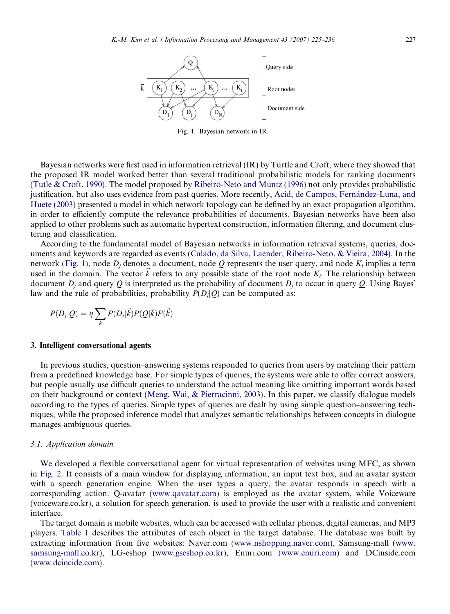<span id="page-2-0"></span>

Fig. 1. Bayesian network in IR.

Bayesian networks were first used in information retrieval (IR) by Turtle and Croft, where they showed that the proposed IR model worked better than several traditional probabilistic models for ranking documents [\(Tutle & Croft, 1990\)](#page-11-0). The model proposed by [Ribeiro-Neto and Muntz \(1996\)](#page-11-0) not only provides probabilistic justification, but also uses evidence from past queries. More recently, Acid, de Campos, Fernández-Luna, and [Huete \(2003\)](#page-11-0) presented a model in which network topology can be defined by an exact propagation algorithm, in order to efficiently compute the relevance probabilities of documents. Bayesian networks have been also applied to other problems such as automatic hypertext construction, information filtering, and document clustering and classification.

According to the fundamental model of Bayesian networks in information retrieval systems, queries, documents and keywords are regarded as events ([Calado, da Silva, Laender, Ribeiro-Neto, & Vieira, 2004\)](#page-11-0). In the network (Fig. 1), node  $D_i$  denotes a document, node Q represents the user query, and node  $K_i$  implies a term used in the domain. The vector  $\vec{k}$  refers to any possible state of the root node  $K_i$ . The relationship between document  $D_i$  and query Q is interpreted as the probability of document  $D_i$  to occur in query Q. Using Bayes' law and the rule of probabilities, probability  $P(D_i|Q)$  can be computed as:

$$
P(D_j|Q) = \eta \sum_k P(D_j|\vec{k}) P(Q|\vec{k}) P(\vec{k})
$$

#### 3. Intelligent conversational agents

In previous studies, question–answering systems responded to queries from users by matching their pattern from a predefined knowledge base. For simple types of queries, the systems were able to offer correct answers, but people usually use difficult queries to understand the actual meaning like omitting important words based on their background or context [\(Meng, Wai, & Pierracinni, 2003](#page-11-0)). In this paper, we classify dialogue models according to the types of queries. Simple types of queries are dealt by using simple question–answering techniques, while the proposed inference model that analyzes semantic relationships between concepts in dialogue manages ambiguous queries.

### 3.1. Application domain

We developed a flexible conversational agent for virtual representation of websites using MFC, as shown in [Fig. 2.](#page-3-0) It consists of a main window for displaying information, an input text box, and an avatar system with a speech generation engine. When the user types a query, the avatar responds in speech with a corresponding action. Q-avatar [\(www.qavatar.com](http://www.qavatar.com)) is employed as the avatar system, while Voiceware (voiceware.co.kr), a solution for speech generation, is used to provide the user with a realistic and convenient interface.

The target domain is mobile websites, which can be accessed with cellular phones, digital cameras, and MP3 players. [Table 1](#page-3-0) describes the attributes of each object in the target database. The database was built by extracting information from five websites: Naver.com [\(www.nshopping.naver.com](http://www.nshopping.naver.com)), Samsung-mall ([www.](http://www.samsung-mall.co.kr) [samsung-mall.co.kr](http://www.samsung-mall.co.kr)), LG-eshop [\(www.gseshop.co.kr\)](http://www.gseshop.co.kr), Enuri.com [\(www.enuri.com](http://www.enuri.com)) and DCinside.com [\(www.dcincide.com](http://www.dcincide.com)).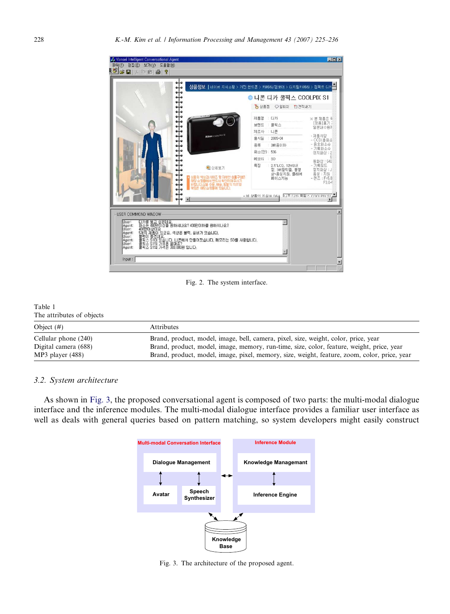<span id="page-3-0"></span>

Fig. 2. The system interface.

| Table 1                   |                                                                                              |
|---------------------------|----------------------------------------------------------------------------------------------|
| The attributes of objects |                                                                                              |
| Object $(#)$              | Attributes                                                                                   |
| Cellular phone (240)      | Brand, product, model, image, bell, camera, pixel, size, weight, color, price, year          |
| Digital camera (688)      | Brand, product, model, image, memory, run-time, size, color, feature, weight, price, year    |
| $MP3$ player $(488)$      | Brand, product, model, image, pixel, memory, size, weight, feature, zoom, color, price, year |

## 3.2. System architecture

As shown in Fig. 3, the proposed conversational agent is composed of two parts: the multi-modal dialogue interface and the inference modules. The multi-modal dialogue interface provides a familiar user interface as well as deals with general queries based on pattern matching, so system developers might easily construct



Fig. 3. The architecture of the proposed agent.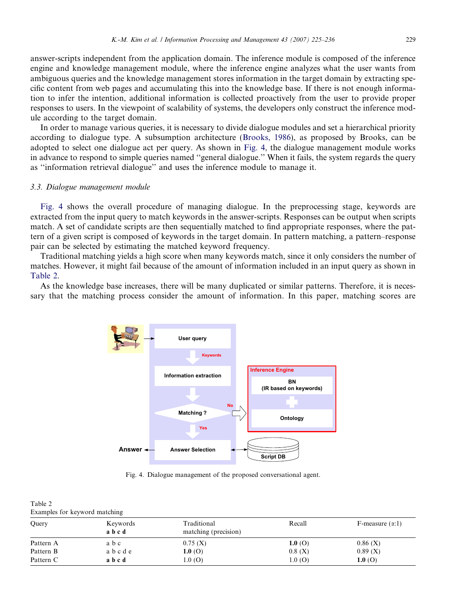answer-scripts independent from the application domain. The inference module is composed of the inference engine and knowledge management module, where the inference engine analyzes what the user wants from ambiguous queries and the knowledge management stores information in the target domain by extracting specific content from web pages and accumulating this into the knowledge base. If there is not enough information to infer the intention, additional information is collected proactively from the user to provide proper responses to users. In the viewpoint of scalability of systems, the developers only construct the inference module according to the target domain.

In order to manage various queries, it is necessary to divide dialogue modules and set a hierarchical priority according to dialogue type. A subsumption architecture ([Brooks, 1986\)](#page-11-0), as proposed by Brooks, can be adopted to select one dialogue act per query. As shown in Fig. 4, the dialogue management module works in advance to respond to simple queries named ''general dialogue.'' When it fails, the system regards the query as ''information retrieval dialogue'' and uses the inference module to manage it.

## 3.3. Dialogue management module

Fig. 4 shows the overall procedure of managing dialogue. In the preprocessing stage, keywords are extracted from the input query to match keywords in the answer-scripts. Responses can be output when scripts match. A set of candidate scripts are then sequentially matched to find appropriate responses, where the pattern of a given script is composed of keywords in the target domain. In pattern matching, a pattern–response pair can be selected by estimating the matched keyword frequency.

Traditional matching yields a high score when many keywords match, since it only considers the number of matches. However, it might fail because of the amount of information included in an input query as shown in Table 2.

As the knowledge base increases, there will be many duplicated or similar patterns. Therefore, it is necessary that the matching process consider the amount of information. In this paper, matching scores are



Fig. 4. Dialogue management of the proposed conversational agent.

| Table 2                       |  |  |
|-------------------------------|--|--|
| Examples for keyword matching |  |  |

| Query     | Keywords<br>abcd | Traditional<br>matching (precision) | Recall | F-measure $(\alpha:1)$ |
|-----------|------------------|-------------------------------------|--------|------------------------|
| Pattern A | abc              | 0.75(X)                             | 1.0(0) | 0.86(X)                |
| Pattern B | abcde            | 1.0(0)                              | 0.8(X) | 0.89(X)                |
| Pattern C | abcd             | 1.0(0)                              | 1.0(0) | 1.0(0)                 |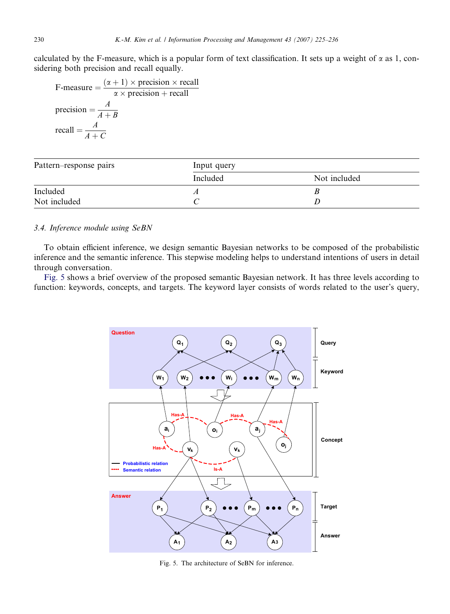calculated by the F-measure, which is a popular form of text classification. It sets up a weight of  $\alpha$  as 1, considering both precision and recall equally.

F-measure  $= \frac{(\alpha + 1) \times \text{precision} \times \text{recall}}{1 - \text{precision} \times \text{recall}}$  $\alpha \times$  precision + recall precision  $=$   $\frac{A}{A+B}$ recall  $=$   $\frac{A}{A+C}$ 

| Pattern–response pairs | Input query |              |  |  |
|------------------------|-------------|--------------|--|--|
|                        | Included    | Not included |  |  |
| Included               |             |              |  |  |
| Not included           |             |              |  |  |

# 3.4. Inference module using SeBN

To obtain efficient inference, we design semantic Bayesian networks to be composed of the probabilistic inference and the semantic inference. This stepwise modeling helps to understand intentions of users in detail through conversation.

Fig. 5 shows a brief overview of the proposed semantic Bayesian network. It has three levels according to function: keywords, concepts, and targets. The keyword layer consists of words related to the user's query,



Fig. 5. The architecture of SeBN for inference.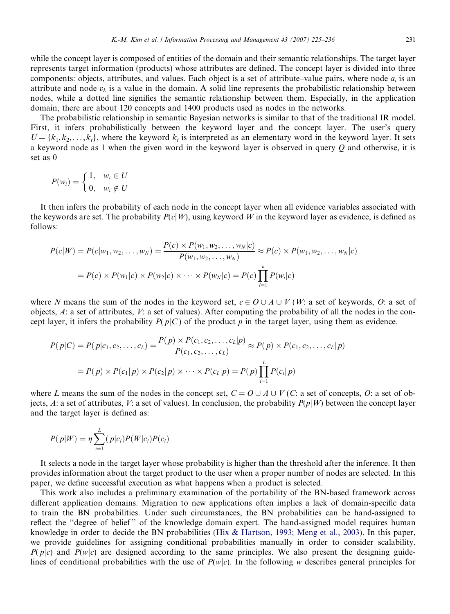while the concept layer is composed of entities of the domain and their semantic relationships. The target layer represents target information (products) whose attributes are defined. The concept layer is divided into three components: objects, attributes, and values. Each object is a set of attribute–value pairs, where node  $a_i$  is an attribute and node  $v_k$  is a value in the domain. A solid line represents the probabilistic relationship between nodes, while a dotted line signifies the semantic relationship between them. Especially, in the application domain, there are about 120 concepts and 1400 products used as nodes in the networks.

The probabilistic relationship in semantic Bayesian networks is similar to that of the traditional IR model. First, it infers probabilistically between the keyword layer and the concept layer. The user's query  $U = \{k_1, k_2, \ldots, k_t\}$ , where the keyword  $k_i$  is interpreted as an elementary word in the keyword layer. It sets a keyword node as 1 when the given word in the keyword layer is observed in query Q and otherwise, it is set as 0

$$
P(w_i) = \begin{cases} 1, & w_i \in U \\ 0, & w_i \notin U \end{cases}
$$

It then infers the probability of each node in the concept layer when all evidence variables associated with the keywords are set. The probability  $P(c|W)$ , using keyword W in the keyword layer as evidence, is defined as follows:

$$
P(c|W) = P(c|w_1, w_2, ..., w_N) = \frac{P(c) \times P(w_1, w_2, ..., w_N|c)}{P(w_1, w_2, ..., w_N)} \approx P(c) \times P(w_1, w_2, ..., w_N|c)
$$
  
=  $P(c) \times P(w_1|c) \times P(w_2|c) \times \cdots \times P(w_N|c) = P(c) \prod_{i=1}^{n} P(w_i|c)$ 

where N means the sum of the nodes in the keyword set,  $c \in O \cup A \cup V(W$ : a set of keywords, O: a set of objects, A: a set of attributes, V: a set of values). After computing the probability of all the nodes in the concept layer, it infers the probability  $P(p|C)$  of the product p in the target layer, using them as evidence.

$$
P(p|C) = P(p|c_1, c_2, ..., c_L) = \frac{P(p) \times P(c_1, c_2, ..., c_L|p)}{P(c_1, c_2, ..., c_L)} \approx P(p) \times P(c_1, c_2, ..., c_L|p)
$$
  
=  $P(p) \times P(c_1|p) \times P(c_2|p) \times \cdots \times P(c_L|p) = P(p) \prod_{i=1}^{L} P(c_i|p)$ 

where L means the sum of the nodes in the concept set,  $C = O \cup A \cup V(C$ : a set of concepts, O: a set of objects, A: a set of attributes, V: a set of values). In conclusion, the probability  $P(p|W)$  between the concept layer and the target layer is defined as:

$$
P(p|W) = \eta \sum_{i=1}^{L} (p|c_i) P(W|c_i) P(c_i)
$$

It selects a node in the target layer whose probability is higher than the threshold after the inference. It then provides information about the target product to the user when a proper number of nodes are selected. In this paper, we define successful execution as what happens when a product is selected.

This work also includes a preliminary examination of the portability of the BN-based framework across different application domains. Migration to new applications often implies a lack of domain-specific data to train the BN probabilities. Under such circumstances, the BN probabilities can be hand-assigned to reflect the ''degree of belief '' of the knowledge domain expert. The hand-assigned model requires human knowledge in order to decide the BN probabilities [\(Hix & Hartson, 1993; Meng et al., 2003](#page-11-0)). In this paper, we provide guidelines for assigning conditional probabilities manually in order to consider scalability.  $P(p|c)$  and  $P(w|c)$  are designed according to the same principles. We also present the designing guidelines of conditional probabilities with the use of  $P(w|c)$ . In the following w describes general principles for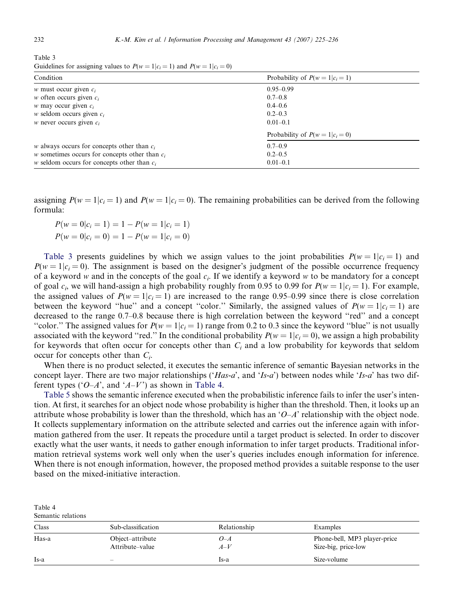Table 4

Table 3 Guidelines for assigning values to  $P(w=1|c_i=1)$  and  $P(w=1|c_i=0)$ 

| Condition                                        | Probability of $P(w=1 c_i=1)$ |
|--------------------------------------------------|-------------------------------|
| <i>w</i> must occur given $c_i$                  | $0.95 - 0.99$                 |
| <i>w</i> often occurs given $c_i$                | $0.7 - 0.8$                   |
| <i>w</i> may occur given $c_i$                   | $0.4 - 0.6$                   |
| <i>w</i> seldom occurs given $c_i$               | $0.2 - 0.3$                   |
| <i>w</i> never occurs given $c_i$                | $0.01 - 0.1$                  |
|                                                  | Probability of $P(w=1 c_i=0)$ |
| $w$ always occurs for concepts other than $c_i$  | $0.7 - 0.9$                   |
| w sometimes occurs for concepts other than $c_i$ | $0.2 - 0.5$                   |
| $w$ seldom occurs for concepts other than $c_i$  | $0.01 - 0.1$                  |

assigning  $P(w = 1 | c_i = 1)$  and  $P(w = 1 | c_i = 0)$ . The remaining probabilities can be derived from the following formula:

$$
P(w = 0|c_i = 1) = 1 - P(w = 1|c_i = 1)
$$
  

$$
P(w = 0|c_i = 0) = 1 - P(w = 1|c_i = 0)
$$

Table 3 presents guidelines by which we assign values to the joint probabilities  $P(w = 1|c_i = 1)$  and  $P(w = 1|c_i = 0)$ . The assignment is based on the designer's judgment of the possible occurrence frequency of a keyword w and in the concepts of the goal  $c_i$ . If we identify a keyword w to be mandatory for a concept of goal  $c_i$ , we will hand-assign a high probability roughly from 0.95 to 0.99 for  $P(w = 1|c_i = 1)$ . For example, the assigned values of  $P(w = 1|c_i = 1)$  are increased to the range 0.95–0.99 since there is close correlation between the keyword "hue" and a concept "color." Similarly, the assigned values of  $P(w = 1|c_i = 1)$  are decreased to the range 0.7–0.8 because there is high correlation between the keyword ''red'' and a concept "color." The assigned values for  $P(w = 1|c_i = 1)$  range from 0.2 to 0.3 since the keyword "blue" is not usually associated with the keyword "red." In the conditional probability  $P(w = 1 | c_i = 0)$ , we assign a high probability for keywords that often occur for concepts other than  $C_i$  and a low probability for keywords that seldom occur for concepts other than  $C_i$ .

When there is no product selected, it executes the semantic inference of semantic Bayesian networks in the concept layer. There are two major relationships ('Has-a', and 'Is-a') between nodes while 'Is-a' has two different types (' $O-A$ ', and ' $A-V$ ') as shown in Table 4.

[Table 5](#page-8-0) shows the semantic inference executed when the probabilistic inference fails to infer the user's intention. At first, it searches for an object node whose probability is higher than the threshold. Then, it looks up an attribute whose probability is lower than the threshold, which has an ' $O-A$ ' relationship with the object node. It collects supplementary information on the attribute selected and carries out the inference again with information gathered from the user. It repeats the procedure until a target product is selected. In order to discover exactly what the user wants, it needs to gather enough information to infer target products. Traditional information retrieval systems work well only when the user's queries includes enough information for inference. When there is not enough information, however, the proposed method provides a suitable response to the user based on the mixed-initiative interaction.

| Semantic relations |                                     |                |                                                     |
|--------------------|-------------------------------------|----------------|-----------------------------------------------------|
| Class              | Sub-classification                  | Relationship   | Examples                                            |
| Has-a              | Object-attribute<br>Attribute–value | $O-A$<br>$A-V$ | Phone-bell, MP3 player-price<br>Size-big, price-low |
| Is-a               | $\overline{\phantom{a}}$            | Is-a           | Size-volume                                         |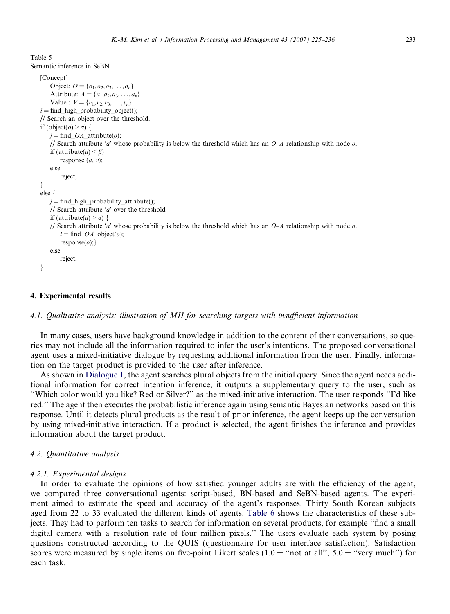<span id="page-8-0"></span>Table 5 Semantic inference in SeBN

```
[Concept]
    Object: O = \{o_1, o_2, o_3, \ldots, o_n\}Attribute: A = \{a_1, a_2, a_3, \ldots, a_n\}Value : V = \{v_1, v_2, v_3, \ldots, v_n\}i = \text{find} high probability object();
// Search an object over the threshold.
if (object(\rho) > \alpha) {
    j = \text{find } OA attribute(o);
    // Search attribute 'a' whose probability is below the threshold which has an O-A relationship with node o.
    if (attribute(a) < \beta)
        response (a, v);
    else
        reject;
}
else {
   j = \text{find} high probability attribute();
    // Search attribute 'a' over the threshold
    if (attribute(a) > \alpha) {
    // Search attribute 'a' whose probability is below the threshold which has an O-A relationship with node o.
        i = \text{find}\_\text{OA}\_\text{object}(o);response(o);else
        reject;
}
```
## 4. Experimental results

# 4.1. Qualitative analysis: illustration of MII for searching targets with insufficient information

In many cases, users have background knowledge in addition to the content of their conversations, so queries may not include all the information required to infer the user's intentions. The proposed conversational agent uses a mixed-initiative dialogue by requesting additional information from the user. Finally, information on the target product is provided to the user after inference.

As shown in [Dialogue 1,](#page-9-0) the agent searches plural objects from the initial query. Since the agent needs additional information for correct intention inference, it outputs a supplementary query to the user, such as ''Which color would you like? Red or Silver?'' as the mixed-initiative interaction. The user responds ''I'd like red.'' The agent then executes the probabilistic inference again using semantic Bayesian networks based on this response. Until it detects plural products as the result of prior inference, the agent keeps up the conversation by using mixed-initiative interaction. If a product is selected, the agent finishes the inference and provides information about the target product.

## 4.2. Quantitative analysis

#### 4.2.1. Experimental designs

In order to evaluate the opinions of how satisfied younger adults are with the efficiency of the agent, we compared three conversational agents: script-based, BN-based and SeBN-based agents. The experiment aimed to estimate the speed and accuracy of the agent's responses. Thirty South Korean subjects aged from 22 to 33 evaluated the different kinds of agents. [Table 6](#page-9-0) shows the characteristics of these subjects. They had to perform ten tasks to search for information on several products, for example ''find a small digital camera with a resolution rate of four million pixels.'' The users evaluate each system by posing questions constructed according to the QUIS (questionnaire for user interface satisfaction). Satisfaction scores were measured by single items on five-point Likert scales  $(1.0 = "not at all", 5.0 = "very much")$  for each task.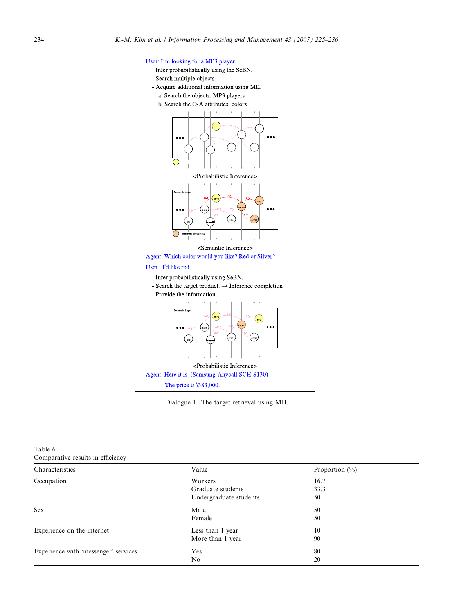<span id="page-9-0"></span>

Dialogue 1. The target retrieval using MII.

| Table 6                           |  |
|-----------------------------------|--|
| Comparative results in efficiency |  |

| Characteristics                      | Value                  | Proportion $(\% )$ |  |  |
|--------------------------------------|------------------------|--------------------|--|--|
| Occupation                           | Workers                | 16.7               |  |  |
|                                      | Graduate students      | 33.3               |  |  |
|                                      | Undergraduate students | 50                 |  |  |
| <b>Sex</b>                           | Male                   | 50                 |  |  |
|                                      | Female                 | 50                 |  |  |
| Experience on the internet           | Less than 1 year       | 10                 |  |  |
|                                      | More than 1 year       | 90                 |  |  |
| Experience with 'messenger' services | Yes                    | 80                 |  |  |
|                                      | No                     | 20                 |  |  |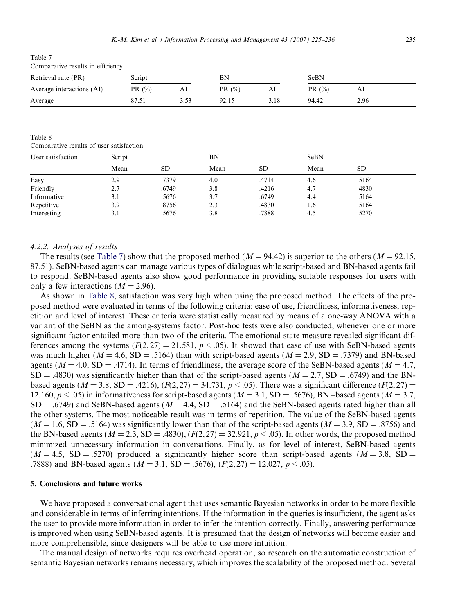Table 7 Comparative results in efficiency

| Retrieval rate (PR)       | Script     |      | ΒN         |      | SeBN       |      |
|---------------------------|------------|------|------------|------|------------|------|
| Average interactions (AI) | PR $(\% )$ | AI   | PR $(\% )$ | Al   | PR $(\% )$ | AI   |
| Average                   | 87.5       | 3.53 | 92.15      | 3.18 | 94.42      | 2.96 |

Table 8

Comparative results of user satisfaction

| User satisfaction | Script |           |      | BN        |      | <b>SeBN</b> |  |
|-------------------|--------|-----------|------|-----------|------|-------------|--|
|                   | Mean   | <b>SD</b> | Mean | <b>SD</b> | Mean | <b>SD</b>   |  |
| Easy              | 2.9    | .7379     | 4.0  | .4714     | 4.6  | .5164       |  |
| Friendly          | 2.7    | .6749     | 3.8  | .4216     | 4.7  | .4830       |  |
| Informative       | 3.1    | .5676     | 3.7  | .6749     | 4.4  | .5164       |  |
| Repetitive        | 3.9    | .8756     | 2.3  | .4830     | 1.6  | .5164       |  |
| Interesting       | 3.1    | .5676     | 3.8  | .7888     | 4.5  | .5270       |  |

## 4.2.2. Analyses of results

The results (see Table 7) show that the proposed method ( $M = 94.42$ ) is superior to the others ( $M = 92.15$ , 87.51). SeBN-based agents can manage various types of dialogues while script-based and BN-based agents fail to respond. SeBN-based agents also show good performance in providing suitable responses for users with only a few interactions  $(M = 2.96)$ .

As shown in Table 8, satisfaction was very high when using the proposed method. The effects of the proposed method were evaluated in terms of the following criteria: ease of use, friendliness, informativeness, repetition and level of interest. These criteria were statistically measured by means of a one-way ANOVA with a variant of the SeBN as the among-systems factor. Post-hoc tests were also conducted, whenever one or more significant factor entailed more than two of the criteria. The emotional state measure revealed significant differences among the systems  $(F(2, 27) = 21.581, p < .05)$ . It showed that ease of use with SeBN-based agents was much higher ( $M = 4.6$ , SD = .5164) than with script-based agents ( $M = 2.9$ , SD = .7379) and BN-based agents ( $M = 4.0$ , SD = .4714). In terms of friendliness, the average score of the SeBN-based agents ( $M = 4.7$ ,  $SD = .4830$ ) was significantly higher than that of the script-based agents ( $M = 2.7$ ,  $SD = .6749$ ) and the BNbased agents ( $M = 3.8$ , SD = .4216), ( $F(2, 27) = 34.731$ ,  $p < .05$ ). There was a significant difference ( $F(2, 27) =$ 12.160,  $p < .05$ ) in informativeness for script-based agents ( $M = 3.1$ , SD = .5676), BN –based agents ( $M = 3.7$ ,  $SD = .6749$ ) and SeBN-based agents ( $M = 4.4$ ,  $SD = .5164$ ) and the SeBN-based agents rated higher than all the other systems. The most noticeable result was in terms of repetition. The value of the SeBN-based agents  $(M = 1.6, SD = .5164)$  was significantly lower than that of the script-based agents  $(M = 3.9, SD = .8756)$  and the BN-based agents  $(M = 2.3, SD = .4830), (F(2, 27) = 32.921, p < .05)$ . In other words, the proposed method minimized unnecessary information in conversations. Finally, as for level of interest, SeBN-based agents  $(M = 4.5, SD = .5270)$  produced a significantly higher score than script-based agents  $(M = 3.8, SD = .5270)$ .7888) and BN-based agents ( $M = 3.1$ , SD = .5676), ( $F(2, 27) = 12.027$ ,  $p < .05$ ).

## 5. Conclusions and future works

We have proposed a conversational agent that uses semantic Bayesian networks in order to be more flexible and considerable in terms of inferring intentions. If the information in the queries is insufficient, the agent asks the user to provide more information in order to infer the intention correctly. Finally, answering performance is improved when using SeBN-based agents. It is presumed that the design of networks will become easier and more comprehensible, since designers will be able to use more intuition.

The manual design of networks requires overhead operation, so research on the automatic construction of semantic Bayesian networks remains necessary, which improves the scalability of the proposed method. Several